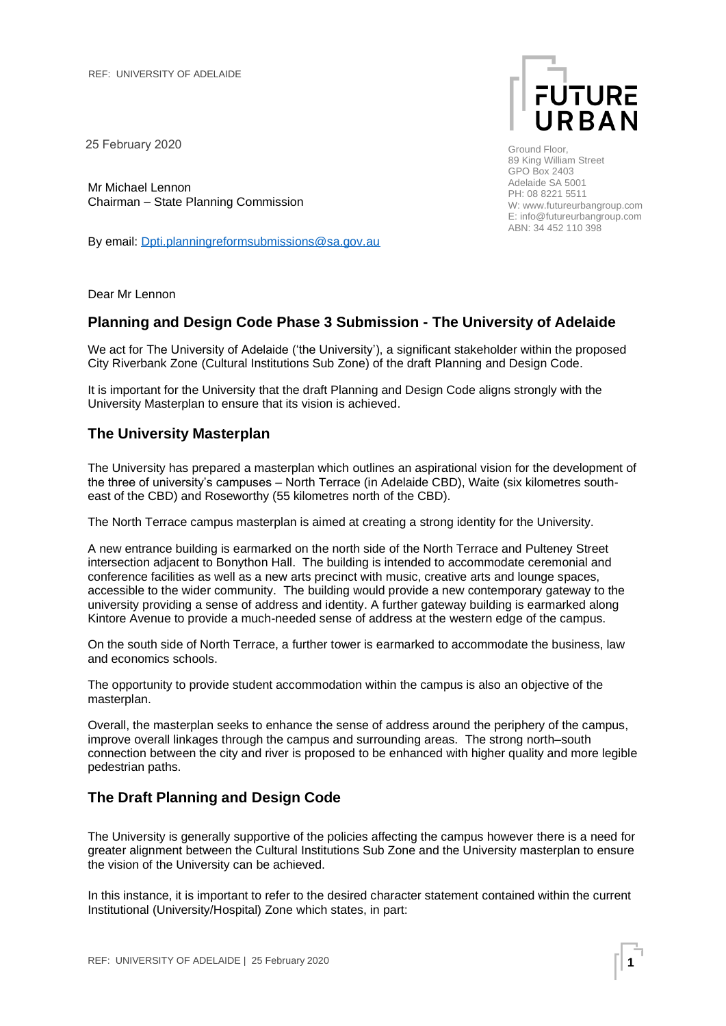25 February 2020

Mr Michael Lennon Chairman – State Planning Commission

By email: [Dpti.planningreformsubmissions@sa.gov.au](mailto:Dpti.planningreformsubmissions@sa.gov.au)



Ground Floor, 89 King William Street GPO Box 2403 Adelaide SA 5001 PH: 08 8221 5511 W: www.futureurbangroup.com E: info@futureurbangroup.com ABN: 34 452 110 398

Dear Mr Lennon

## **Planning and Design Code Phase 3 Submission - The University of Adelaide**

We act for The University of Adelaide ('the University'), a significant stakeholder within the proposed City Riverbank Zone (Cultural Institutions Sub Zone) of the draft Planning and Design Code.

It is important for the University that the draft Planning and Design Code aligns strongly with the University Masterplan to ensure that its vision is achieved.

## **The University Masterplan**

The University has prepared a masterplan which outlines an aspirational vision for the development of the three of university's campuses – North Terrace (in Adelaide CBD), Waite (six kilometres southeast of the CBD) and Roseworthy (55 kilometres north of the CBD).

The North Terrace campus masterplan is aimed at creating a strong identity for the University.

A new entrance building is earmarked on the north side of the North Terrace and Pulteney Street intersection adjacent to Bonython Hall. The building is intended to accommodate ceremonial and conference facilities as well as a new arts precinct with music, creative arts and lounge spaces, accessible to the wider community. The building would provide a new contemporary gateway to the university providing a sense of address and identity. A further gateway building is earmarked along Kintore Avenue to provide a much-needed sense of address at the western edge of the campus.

On the south side of North Terrace, a further tower is earmarked to accommodate the business, law and economics schools.

The opportunity to provide student accommodation within the campus is also an objective of the masterplan.

Overall, the masterplan seeks to enhance the sense of address around the periphery of the campus, improve overall linkages through the campus and surrounding areas. The strong north–south connection between the city and river is proposed to be enhanced with higher quality and more legible pedestrian paths.

## **The Draft Planning and Design Code**

The University is generally supportive of the policies affecting the campus however there is a need for greater alignment between the Cultural Institutions Sub Zone and the University masterplan to ensure the vision of the University can be achieved.

In this instance, it is important to refer to the desired character statement contained within the current Institutional (University/Hospital) Zone which states, in part: